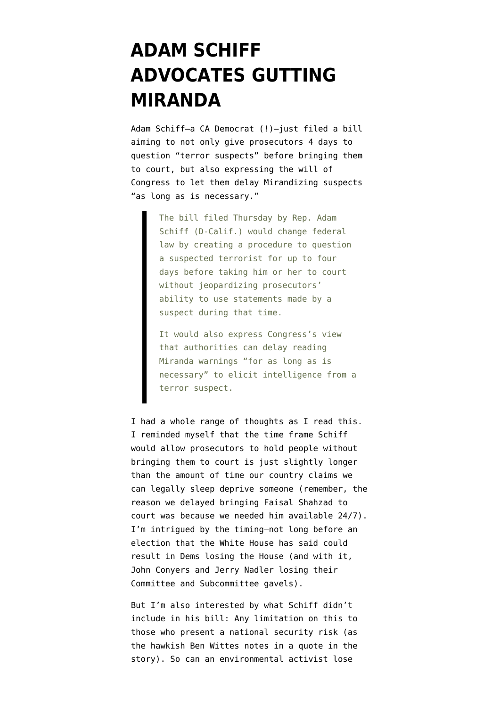## **[ADAM SCHIFF](https://www.emptywheel.net/2010/07/31/adam-schiff-advocates-gutting-miranda/) [ADVOCATES GUTTING](https://www.emptywheel.net/2010/07/31/adam-schiff-advocates-gutting-miranda/) [MIRANDA](https://www.emptywheel.net/2010/07/31/adam-schiff-advocates-gutting-miranda/)**

Adam Schiff–a CA Democrat (!)–just [filed a bill](http://dyn.politico.com/printstory.cfm?uuid=25FCA9D5-18FE-70B2-A8DC91A26CE7479A) aiming to not only give prosecutors 4 days to question "terror suspects" before bringing them to court, but also expressing the will of Congress to let them delay Mirandizing suspects "as long as is necessary."

> The bill filed Thursday by Rep. Adam Schiff (D-Calif.) would change federal law by creating a procedure to question a suspected terrorist for up to four days before taking him or her to court without jeopardizing prosecutors' ability to use statements made by a suspect during that time.

It would also express Congress's view that authorities can delay reading Miranda warnings "for as long as is necessary" to elicit intelligence from a terror suspect.

I had a whole range of thoughts as I read this. I reminded myself that the time frame Schiff would allow prosecutors to hold people without bringing them to court is just slightly longer than the amount of time our country claims we can legally sleep deprive someone (remember, the reason we delayed bringing Faisal Shahzad to court was because we needed him available 24/7). I'm intrigued by the timing–not long before an election that the White House has said could result in Dems losing the House (and with it, John Conyers and Jerry Nadler losing their Committee and Subcommittee gavels).

But I'm also interested by what Schiff didn't include in his bill: Any limitation on this to those who present a national security risk (as the hawkish Ben Wittes notes in a quote in the story). So can an environmental activist lose